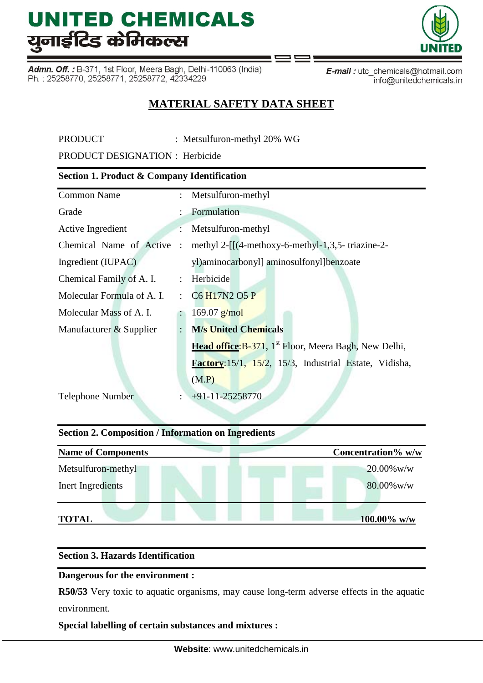Admn. Off.: B-371, 1st Floor, Meera Bagh, Delhi-110063 (India) Ph.: 25258770, 25258771, 25258772, 42334229

E-mail: utc\_chemicals@hotmail.com info@unitedchemicals.in

# **MATERIAL SAFETY DATA SHEET**

PRODUCT : Metsulfuron-methyl 20% WG

PRODUCT DESIGNATION : Herbicide

#### **Section 1. Product & Company Identification**

| <b>Common Name</b>         |                      | : Metsulfuron-methyl                                              |  |  |
|----------------------------|----------------------|-------------------------------------------------------------------|--|--|
| Grade                      |                      | Formulation                                                       |  |  |
| Active Ingredient          |                      | Metsulfuron-methyl                                                |  |  |
| Chemical Name of Active    |                      | methyl $2-[[(4-methoxy-6-methy]-1,3,5-triazine-2-$                |  |  |
| Ingredient (IUPAC)         |                      | yl)aminocarbonyl] aminosulfonyl]benzoate                          |  |  |
| Chemical Family of A. I.   |                      | Herbicide                                                         |  |  |
| Molecular Formula of A. I. |                      | $\therefore$ C6 H17N2 O5 P                                        |  |  |
| Molecular Mass of A. I.    |                      | $169.07$ g/mol                                                    |  |  |
| Manufacturer & Supplier    | $\ddot{\phantom{a}}$ | <b>M/s United Chemicals</b>                                       |  |  |
|                            |                      | Head office: B-371, 1 <sup>st</sup> Floor, Meera Bagh, New Delhi, |  |  |
|                            |                      | Factory: 15/1, 15/2, 15/3, Industrial Estate, Vidisha,            |  |  |
|                            |                      | (M.P)                                                             |  |  |
| <b>Telephone Number</b>    |                      | $+91-11-25258770$                                                 |  |  |
|                            |                      |                                                                   |  |  |

### **Section 2. Composition / Information on Ingredients**

| <b>Name of Components</b> | Concentration% w/w |
|---------------------------|--------------------|
| Metsulfuron-methyl        | $20.00\%$ w/w      |
| Inert Ingredients         | $80.00\%$ w/w      |
| <b>TOTAL</b>              | 100.00% w/w        |

### **Section 3. Hazards Identification**

### **Dangerous for the environment :**

**R50/53** Very toxic to aquatic organisms, may cause long-term adverse effects in the aquatic environment.

**Special labelling of certain substances and mixtures :** 

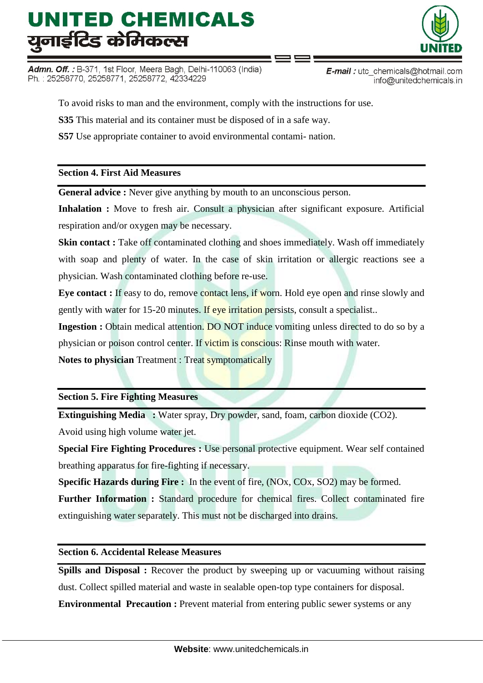Admn. Off. : B-371, 1st Floor, Meera Bagh, Delhi-110063 (India) Ph.: 25258770, 25258771, 25258772, 42334229

**E-mail**: utc chemicals@hotmail.com info@unitedchemicals.in

To avoid risks to man and the environment, comply with the instructions for use.

**S35** This material and its container must be disposed of in a safe way.

**S57** Use appropriate container to avoid environmental contami- nation.

### **Section 4. First Aid Measures**

**General advice :** Never give anything by mouth to an unconscious person.

**Inhalation :** Move to fresh air. Consult a physician after significant exposure. Artificial respiration and/or oxygen may be necessary.

**Skin contact :** Take off contaminated clothing and shoes immediately. Wash off immediately with soap and plenty of water. In the case of skin irritation or allergic reactions see a physician. Wash contaminated clothing before re-use.

**Eye contact :** If easy to do, remove contact lens, if worn. Hold eye open and rinse slowly and gently with water for 15-20 minutes. If eye irritation persists, consult a specialist..

**Ingestion :** Obtain medical attention. DO NOT induce vomiting unless directed to do so by a physician or poison control center. If victim is conscious: Rinse mouth with water.

**Notes to physician** Treatment : Treat symptomatically

**Section 5. Fire Fighting Measures**

**Extinguishing Media :** Water spray, Dry powder, sand, foam, carbon dioxide (CO2).

Avoid using high volume water jet.

**Special Fire Fighting Procedures :** Use personal protective equipment. Wear self contained breathing apparatus for fire-fighting if necessary.

**Specific Hazards during Fire :** In the event of fire, (NOx, COx, SO2) may be formed.

**Further Information :** Standard procedure for chemical fires. Collect contaminated fire extinguishing water separately. This must not be discharged into drains.

### **Section 6. Accidental Release Measures**

**Spills and Disposal :** Recover the product by sweeping up or vacuuming without raising dust. Collect spilled material and waste in sealable open-top type containers for disposal. **Environmental Precaution :** Prevent material from entering public sewer systems or any

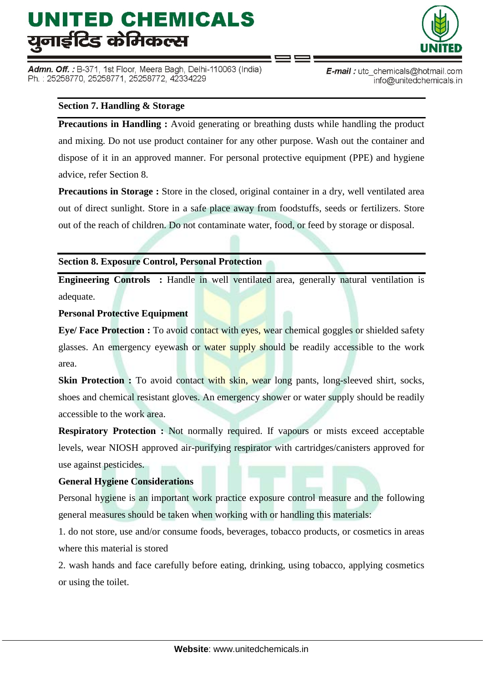Admn. Off.: B-371, 1st Floor, Meera Bagh, Delhi-110063 (India) Ph.: 25258770, 25258771, 25258772, 42334229



**E-mail**: utc chemicals@hotmail.com info@unitedchemicals.in

### **Section 7. Handling & Storage**

**Precautions in Handling :** Avoid generating or breathing dusts while handling the product and mixing. Do not use product container for any other purpose. Wash out the container and dispose of it in an approved manner. For personal protective equipment (PPE) and hygiene advice, refer Section 8.

**Precautions in Storage :** Store in the closed, original container in a dry, well ventilated area out of direct sunlight. Store in a safe place away from foodstuffs, seeds or fertilizers. Store out of the reach of children. Do not contaminate water, food, or feed by storage or disposal.

## **Section 8. Exposure Control, Personal Protection**

**Engineering Controls** : Handle in well ventilated area, generally natural ventilation is adequate.

#### **Personal Protective Equipment**

**Eye/ Face Protection :** To avoid contact with eyes, wear chemical goggles or shielded safety glasses. An emergency eyewash or water supply should be readily accessible to the work area.

**Skin Protection :** To avoid contact with skin, wear long pants, long-sleeved shirt, socks, shoes and chemical resistant gloves. An emergency shower or water supply should be readily accessible to the work area.

**Respiratory Protection :** Not normally required. If vapours or mists exceed acceptable levels, wear NIOSH approved air-purifying respirator with cartridges/canisters approved for use against pesticides.

# **General Hygiene Considerations**

Personal hygiene is an important work practice exposure control measure and the following general measures should be taken when working with or handling this materials:

1. do not store, use and/or consume foods, beverages, tobacco products, or cosmetics in areas where this material is stored

2. wash hands and face carefully before eating, drinking, using tobacco, applying cosmetics or using the toilet.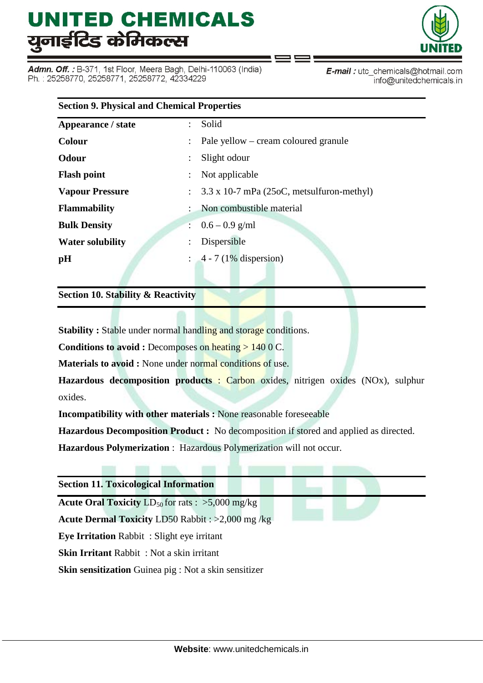Admn. Off. : B-371, 1st Floor, Meera Bagh, Delhi-110063 (India) Ph.: 25258770, 25258771, 25258772, 42334229



E-mail: utc chemicals@hotmail.com info@unitedchemicals.in

| <b>Section 9. Physical and Chemical Properties</b> |                                                                               |  |  |  |
|----------------------------------------------------|-------------------------------------------------------------------------------|--|--|--|
| Appearance / state                                 | Solid<br>$\ddot{\phantom{0}}$                                                 |  |  |  |
| <b>Colour</b>                                      | Pale yellow – cream coloured granule<br>$\mathbb{R}^{\mathbb{Z}}$             |  |  |  |
| Odour                                              | Slight odour<br>÷                                                             |  |  |  |
| <b>Flash point</b>                                 | Not applicable                                                                |  |  |  |
| <b>Vapour Pressure</b>                             | $3.3 \times 10-7$ mPa (25oC, metsulfuron-methyl)<br>$\mathbb{Z}^{\mathbb{Z}}$ |  |  |  |
| <b>Flammability</b>                                | Non combustible material                                                      |  |  |  |
| <b>Bulk Density</b>                                | : $0.6 - 0.9$ g/ml                                                            |  |  |  |
| <b>Water solubility</b>                            | Dispersible<br>$\ddot{\phantom{0}}$                                           |  |  |  |
| pH                                                 | $\therefore$ 4 - 7 (1% dispersion)                                            |  |  |  |
|                                                    |                                                                               |  |  |  |

**Section 10. Stability & Reactivity**

**Stability :** Stable under normal handling and storage conditions.

**Conditions to avoid :** Decomposes on heating > 140 0 C.

**Materials to avoid :** None under normal conditions of use.

**Hazardous decomposition products** : Carbon oxides, nitrigen oxides (NOx), sulphur oxides.

**Incompatibility with other materials :** None reasonable foreseeable

**Hazardous Decomposition Product :** No decomposition if stored and applied as directed.

**Hazardous Polymerization** : Hazardous Polymerization will not occur.

| <b>Section 11. Toxicological Information</b>                 |
|--------------------------------------------------------------|
| <b>Acute Oral Toxicity</b> $LD_{50}$ for rats : >5,000 mg/kg |
| <b>Acute Dermal Toxicity</b> LD50 Rabbit : $>2,000$ mg/kg    |
| <b>Eye Irritation</b> Rabbit: Slight eye irritant            |
| <b>Skin Irritant Rabbit:</b> Not a skin irritant             |
| <b>Skin sensitization</b> Guinea pig: Not a skin sensitizer  |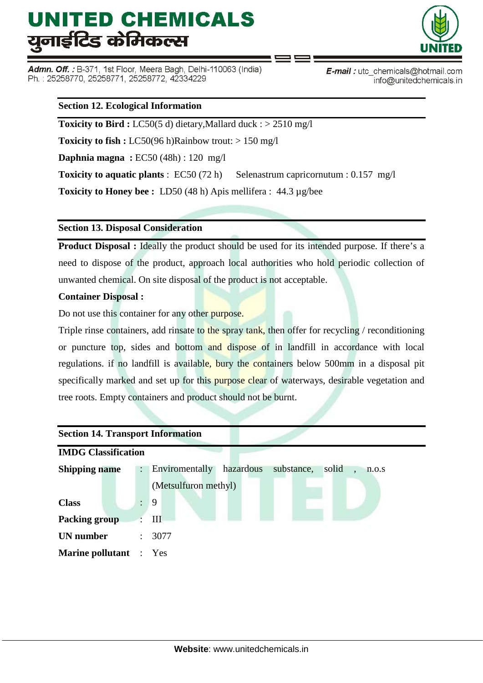Admn. Off. : B-371, 1st Floor, Meera Bagh, Delhi-110063 (India) Ph.: 25258770, 25258771, 25258772, 42334229



E-mail: utc\_chemicals@hotmail.com info@unitedchemicals.in

#### **Section 12. Ecological Information**

**Toxicity to Bird :** LC50(5 d) dietary, Mallard duck : > 2510 mg/l

**Toxicity to fish :** LC50(96 h)Rainbow trout: > 150 mg/l

**Daphnia magna :** EC50 (48h) : 120 mg/l

**Toxicity to aquatic plants** : EC50 (72 h) Selenastrum capricornutum : 0.157 mg/l

**Toxicity to Honey bee :** LD50 (48 h) Apis mellifera : 44.3 µg/bee

#### **Section 13. Disposal Consideration**

**Product Disposal :** Ideally the product should be used for its intended purpose. If there's a need to dispose of the product, approach local authorities who hold periodic collection of unwanted chemical. On site disposal of the product is not acceptable.

#### **Container Disposal :**

Do not use this container for any other purpose.

Triple rinse containers, add rinsate to the spray tank, then offer for recycling / reconditioning or puncture top, sides and bottom and dispose of in landfill in accordance with local regulations. if no landfill is available, bury the containers below 500mm in a disposal pit specifically marked and set up for this purpose clear of waterways, desirable vegetation and tree roots. Empty containers and product should not be burnt.

| <b>Section 14. Transport Information</b> |               |                                                               |  |  |  |  |  |
|------------------------------------------|---------------|---------------------------------------------------------------|--|--|--|--|--|
| <b>IMDG Classification</b>               |               |                                                               |  |  |  |  |  |
| <b>Shipping name</b>                     |               | hazardous<br>: Enviromentally<br>substance,<br>solid<br>n.o.s |  |  |  |  |  |
|                                          |               | (Metsulfuron methyl)                                          |  |  |  |  |  |
| <b>Class</b>                             | $\bullet$     | 9                                                             |  |  |  |  |  |
| <b>Packing group</b>                     |               | Ш                                                             |  |  |  |  |  |
| <b>UN</b> number                         | $\mathcal{L}$ | 3077                                                          |  |  |  |  |  |
| <b>Marine pollutant</b>                  |               | : Yes                                                         |  |  |  |  |  |